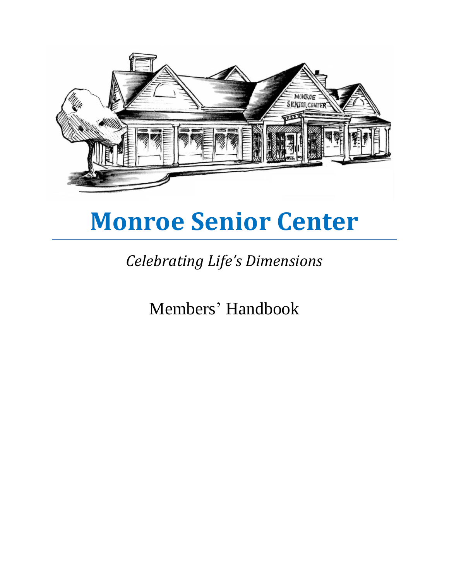

# **Monroe Senior Center**

## *Celebrating Life's Dimensions*

Members' Handbook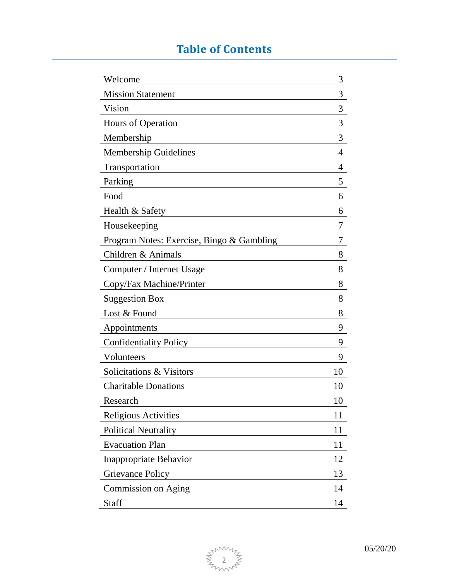## **Table of Contents**

| Welcome                                   | 3  |
|-------------------------------------------|----|
| <b>Mission Statement</b>                  | 3  |
| Vision                                    | 3  |
| Hours of Operation                        | 3  |
| Membership                                | 3  |
| <b>Membership Guidelines</b>              | 4  |
| Transportation                            | 4  |
| Parking                                   | 5  |
| Food                                      | 6  |
| Health & Safety                           | 6  |
| Housekeeping                              | 7  |
| Program Notes: Exercise, Bingo & Gambling | 7  |
| Children & Animals                        | 8  |
| Computer / Internet Usage                 | 8  |
| Copy/Fax Machine/Printer                  | 8  |
| <b>Suggestion Box</b>                     | 8  |
| Lost & Found                              | 8  |
| Appointments                              | 9  |
| <b>Confidentiality Policy</b>             | 9  |
| Volunteers                                | 9  |
| Solicitations & Visitors                  | 10 |
| <b>Charitable Donations</b>               | 10 |
| Research                                  | 10 |
| <b>Religious Activities</b>               | 11 |
| <b>Political Neutrality</b>               | 11 |
| <b>Evacuation Plan</b>                    | 11 |
| Inappropriate Behavior                    | 12 |
| <b>Grievance Policy</b>                   | 13 |
| Commission on Aging                       | 14 |
| Staff                                     | 14 |

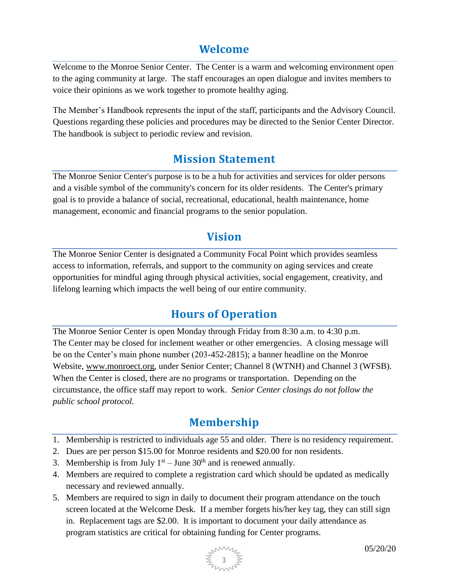#### **Welcome**

Welcome to the Monroe Senior Center. The Center is a warm and welcoming environment open to the aging community at large. The staff encourages an open dialogue and invites members to voice their opinions as we work together to promote healthy aging.

The Member's Handbook represents the input of the staff, participants and the Advisory Council. Questions regarding these policies and procedures may be directed to the Senior Center Director. The handbook is subject to periodic review and revision.

#### **Mission Statement**

The Monroe Senior Center's purpose is to be a hub for activities and services for older persons and a visible symbol of the community's concern for its older residents. The Center's primary goal is to provide a balance of social, recreational, educational, health maintenance, home management, economic and financial programs to the senior population.

#### **Vision**

The Monroe Senior Center is designated a Community Focal Point which provides seamless access to information, referrals, and support to the community on aging services and create opportunities for mindful aging through physical activities, social engagement, creativity, and lifelong learning which impacts the well being of our entire community.

#### **Hours of Operation**

The Monroe Senior Center is open Monday through Friday from 8:30 a.m. to 4:30 p.m. The Center may be closed for inclement weather or other emergencies. A closing message will be on the Center's main phone number (203-452-2815); a banner headline on the Monroe Website, [www.monroect.org,](http://www.monroect.org/) under Senior Center; Channel 8 (WTNH) and Channel 3 (WFSB). When the Center is closed, there are no programs or transportation. Depending on the circumstance, the office staff may report to work. *Senior Center closings do not follow the public school protocol.*

#### **Membership**

- 1. Membership is restricted to individuals age 55 and older. There is no residency requirement.
- 2. Dues are per person \$15.00 for Monroe residents and \$20.00 for non residents.
- 3. Membership is from July  $1<sup>st</sup> -$  June  $30<sup>th</sup>$  and is renewed annually.
- 4. Members are required to complete a registration card which should be updated as medically necessary and reviewed annually.
- 5. Members are required to sign in daily to document their program attendance on the touch screen located at the Welcome Desk. If a member forgets his/her key tag, they can still sign in. Replacement tags are \$2.00. It is important to document your daily attendance as program statistics are critical for obtaining funding for Center programs.

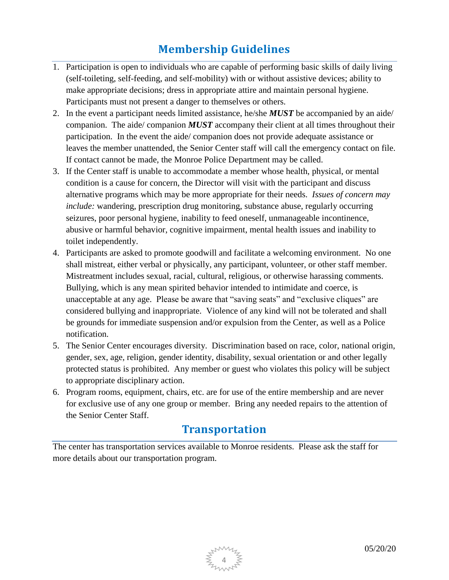## **Membership Guidelines**

- 1. Participation is open to individuals who are capable of performing basic skills of daily living (self-toileting, self-feeding, and self-mobility) with or without assistive devices; ability to make appropriate decisions; dress in appropriate attire and maintain personal hygiene. Participants must not present a danger to themselves or others.
- 2. In the event a participant needs limited assistance, he/she *MUST* be accompanied by an aide/ companion. The aide/ companion *MUST* accompany their client at all times throughout their participation. In the event the aide/ companion does not provide adequate assistance or leaves the member unattended, the Senior Center staff will call the emergency contact on file. If contact cannot be made, the Monroe Police Department may be called.
- 3. If the Center staff is unable to accommodate a member whose health, physical, or mental condition is a cause for concern, the Director will visit with the participant and discuss alternative programs which may be more appropriate for their needs. *Issues of concern may include:* wandering, prescription drug monitoring, substance abuse, regularly occurring seizures, poor personal hygiene, inability to feed oneself, unmanageable incontinence, abusive or harmful behavior, cognitive impairment, mental health issues and inability to toilet independently.
- 4. Participants are asked to promote goodwill and facilitate a welcoming environment. No one shall mistreat, either verbal or physically, any participant, volunteer, or other staff member. Mistreatment includes sexual, racial, cultural, religious, or otherwise harassing comments. Bullying, which is any mean spirited behavior intended to intimidate and coerce, is unacceptable at any age. Please be aware that "saving seats" and "exclusive cliques" are considered bullying and inappropriate. Violence of any kind will not be tolerated and shall be grounds for immediate suspension and/or expulsion from the Center, as well as a Police notification.
- 5. The Senior Center encourages diversity. Discrimination based on race, color, national origin, gender, sex, age, religion, gender identity, disability, sexual orientation or and other legally protected status is prohibited. Any member or guest who violates this policy will be subject to appropriate disciplinary action.
- 6. Program rooms, equipment, chairs, etc. are for use of the entire membership and are never for exclusive use of any one group or member. Bring any needed repairs to the attention of the Senior Center Staff.

#### **Transportation**

The center has transportation services available to Monroe residents. Please ask the staff for more details about our transportation program.

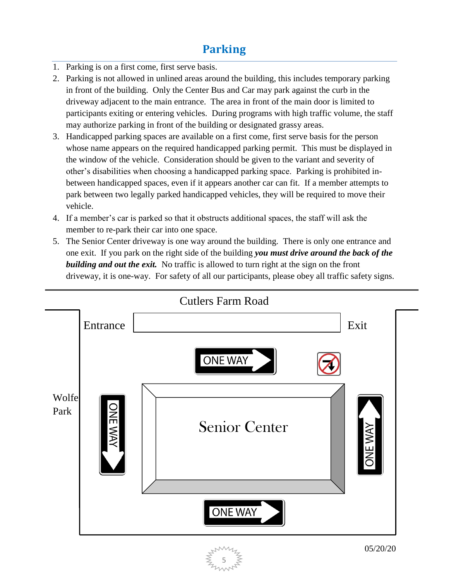#### **Parking**

- 1. Parking is on a first come, first serve basis.
- 2. Parking is not allowed in unlined areas around the building, this includes temporary parking in front of the building. Only the Center Bus and Car may park against the curb in the driveway adjacent to the main entrance. The area in front of the main door is limited to participants exiting or entering vehicles. During programs with high traffic volume, the staff may authorize parking in front of the building or designated grassy areas.
- 3. Handicapped parking spaces are available on a first come, first serve basis for the person whose name appears on the required handicapped parking permit. This must be displayed in the window of the vehicle. Consideration should be given to the variant and severity of other's disabilities when choosing a handicapped parking space. Parking is prohibited inbetween handicapped spaces, even if it appears another car can fit. If a member attempts to park between two legally parked handicapped vehicles, they will be required to move their vehicle.
- 4. If a member's car is parked so that it obstructs additional spaces, the staff will ask the member to re-park their car into one space.
- 5. The Senior Center driveway is one way around the building. There is only one entrance and one exit. If you park on the right side of the building *you must drive around the back of the building and out the exit.* No traffic is allowed to turn right at the sign on the front driveway, it is one-way. For safety of all our participants, please obey all traffic safety signs.

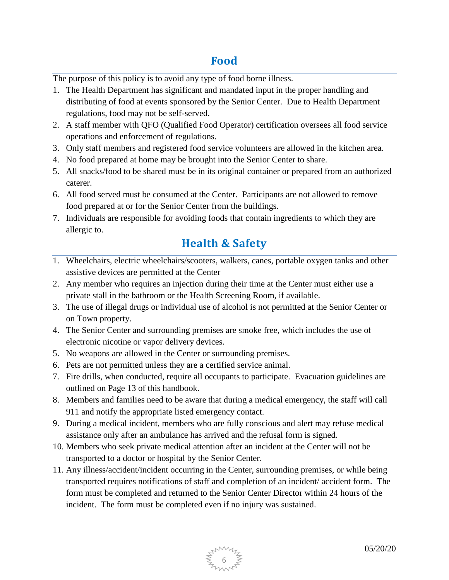#### **Food**

The purpose of this policy is to avoid any type of food borne illness.

- 1. The Health Department has significant and mandated input in the proper handling and distributing of food at events sponsored by the Senior Center. Due to Health Department regulations, food may not be self-served.
- 2. A staff member with QFO (Qualified Food Operator) certification oversees all food service operations and enforcement of regulations.
- 3. Only staff members and registered food service volunteers are allowed in the kitchen area.
- 4. No food prepared at home may be brought into the Senior Center to share.
- 5. All snacks/food to be shared must be in its original container or prepared from an authorized caterer.
- 6. All food served must be consumed at the Center. Participants are not allowed to remove food prepared at or for the Senior Center from the buildings.
- 7. Individuals are responsible for avoiding foods that contain ingredients to which they are allergic to.

#### **Health & Safety**

- 1. Wheelchairs, electric wheelchairs/scooters, walkers, canes, portable oxygen tanks and other assistive devices are permitted at the Center
- 2. Any member who requires an injection during their time at the Center must either use a private stall in the bathroom or the Health Screening Room, if available.
- 3. The use of illegal drugs or individual use of alcohol is not permitted at the Senior Center or on Town property.
- 4. The Senior Center and surrounding premises are smoke free, which includes the use of electronic nicotine or vapor delivery devices.
- 5. No weapons are allowed in the Center or surrounding premises.
- 6. Pets are not permitted unless they are a certified service animal.
- 7. Fire drills, when conducted, require all occupants to participate. Evacuation guidelines are outlined on Page 13 of this handbook.
- 8. Members and families need to be aware that during a medical emergency, the staff will call 911 and notify the appropriate listed emergency contact.
- 9. During a medical incident, members who are fully conscious and alert may refuse medical assistance only after an ambulance has arrived and the refusal form is signed.
- 10. Members who seek private medical attention after an incident at the Center will not be transported to a doctor or hospital by the Senior Center.
- 11. Any illness/accident/incident occurring in the Center, surrounding premises, or while being transported requires notifications of staff and completion of an incident/ accident form. The form must be completed and returned to the Senior Center Director within 24 hours of the incident. The form must be completed even if no injury was sustained.

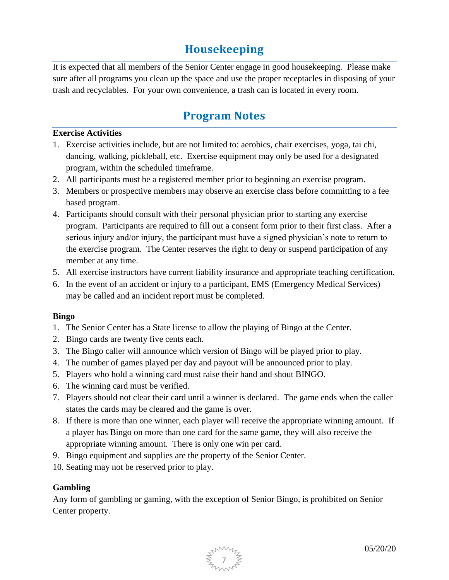#### **Housekeeping**

It is expected that all members of the Senior Center engage in good housekeeping. Please make sure after all programs you clean up the space and use the proper receptacles in disposing of your trash and recyclables. For your own convenience, a trash can is located in every room.

#### **Program Notes**

#### **Exercise Activities**

- 1. Exercise activities include, but are not limited to: aerobics, chair exercises, yoga, tai chi, dancing, walking, pickleball, etc. Exercise equipment may only be used for a designated program, within the scheduled timeframe.
- 2. All participants must be a registered member prior to beginning an exercise program.
- 3. Members or prospective members may observe an exercise class before committing to a fee based program.
- 4. Participants should consult with their personal physician prior to starting any exercise program. Participants are required to fill out a consent form prior to their first class. After a serious injury and/or injury, the participant must have a signed physician's note to return to the exercise program. The Center reserves the right to deny or suspend participation of any member at any time.
- 5. All exercise instructors have current liability insurance and appropriate teaching certification.
- 6. In the event of an accident or injury to a participant, EMS (Emergency Medical Services) may be called and an incident report must be completed.

#### **Bingo**

- 1. The Senior Center has a State license to allow the playing of Bingo at the Center.
- 2. Bingo cards are twenty five cents each.
- 3. The Bingo caller will announce which version of Bingo will be played prior to play.
- 4. The number of games played per day and payout will be announced prior to play.
- 5. Players who hold a winning card must raise their hand and shout BINGO.
- 6. The winning card must be verified.
- 7. Players should not clear their card until a winner is declared. The game ends when the caller states the cards may be cleared and the game is over.
- 8. If there is more than one winner, each player will receive the appropriate winning amount. If a player has Bingo on more than one card for the same game, they will also receive the appropriate winning amount. There is only one win per card.
- 9. Bingo equipment and supplies are the property of the Senior Center.
- 10. Seating may not be reserved prior to play.

#### **Gambling**

Any form of gambling or gaming, with the exception of Senior Bingo, is prohibited on Senior Center property.

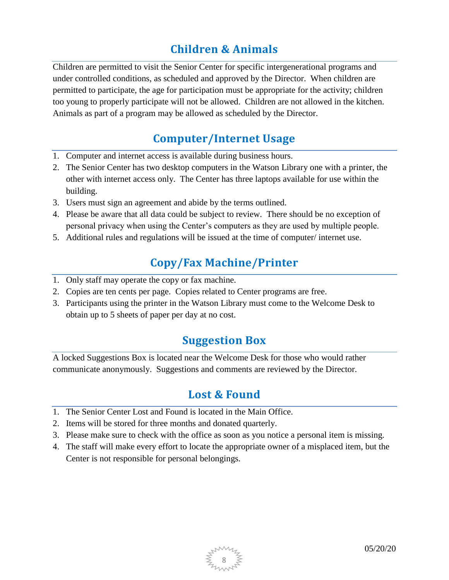### **Children & Animals**

Children are permitted to visit the Senior Center for specific intergenerational programs and under controlled conditions, as scheduled and approved by the Director. When children are permitted to participate, the age for participation must be appropriate for the activity; children too young to properly participate will not be allowed. Children are not allowed in the kitchen. Animals as part of a program may be allowed as scheduled by the Director.

#### **Computer/Internet Usage**

- 1. Computer and internet access is available during business hours.
- 2. The Senior Center has two desktop computers in the Watson Library one with a printer, the other with internet access only. The Center has three laptops available for use within the building.
- 3. Users must sign an agreement and abide by the terms outlined.
- 4. Please be aware that all data could be subject to review. There should be no exception of personal privacy when using the Center's computers as they are used by multiple people.
- 5. Additional rules and regulations will be issued at the time of computer/ internet use.

#### **Copy/Fax Machine/Printer**

- 1. Only staff may operate the copy or fax machine.
- 2. Copies are ten cents per page. Copies related to Center programs are free.
- 3. Participants using the printer in the Watson Library must come to the Welcome Desk to obtain up to 5 sheets of paper per day at no cost.

#### **Suggestion Box**

A locked Suggestions Box is located near the Welcome Desk for those who would rather communicate anonymously. Suggestions and comments are reviewed by the Director.

#### **Lost & Found**

- 1. The Senior Center Lost and Found is located in the Main Office.
- 2. Items will be stored for three months and donated quarterly.
- 3. Please make sure to check with the office as soon as you notice a personal item is missing.
- 4. The staff will make every effort to locate the appropriate owner of a misplaced item, but the Center is not responsible for personal belongings.

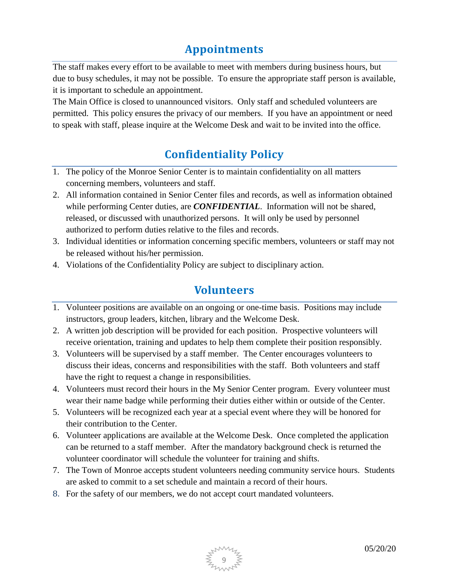#### **Appointments**

The staff makes every effort to be available to meet with members during business hours, but due to busy schedules, it may not be possible. To ensure the appropriate staff person is available, it is important to schedule an appointment.

The Main Office is closed to unannounced visitors. Only staff and scheduled volunteers are permitted. This policy ensures the privacy of our members. If you have an appointment or need to speak with staff, please inquire at the Welcome Desk and wait to be invited into the office.

### **Confidentiality Policy**

- 1. The policy of the Monroe Senior Center is to maintain confidentiality on all matters concerning members, volunteers and staff.
- 2. All information contained in Senior Center files and records, as well as information obtained while performing Center duties, are *CONFIDENTIAL*. Information will not be shared, released, or discussed with unauthorized persons. It will only be used by personnel authorized to perform duties relative to the files and records.
- 3. Individual identities or information concerning specific members, volunteers or staff may not be released without his/her permission.
- 4. Violations of the Confidentiality Policy are subject to disciplinary action.

#### **Volunteers**

- 1. Volunteer positions are available on an ongoing or one-time basis. Positions may include instructors, group leaders, kitchen, library and the Welcome Desk.
- 2. A written job description will be provided for each position. Prospective volunteers will receive orientation, training and updates to help them complete their position responsibly.
- 3. Volunteers will be supervised by a staff member. The Center encourages volunteers to discuss their ideas, concerns and responsibilities with the staff. Both volunteers and staff have the right to request a change in responsibilities.
- 4. Volunteers must record their hours in the My Senior Center program. Every volunteer must wear their name badge while performing their duties either within or outside of the Center.
- 5. Volunteers will be recognized each year at a special event where they will be honored for their contribution to the Center.
- 6. Volunteer applications are available at the Welcome Desk. Once completed the application can be returned to a staff member. After the mandatory background check is returned the volunteer coordinator will schedule the volunteer for training and shifts.
- 7. The Town of Monroe accepts student volunteers needing community service hours. Students are asked to commit to a set schedule and maintain a record of their hours.
- 8. For the safety of our members, we do not accept court mandated volunteers.

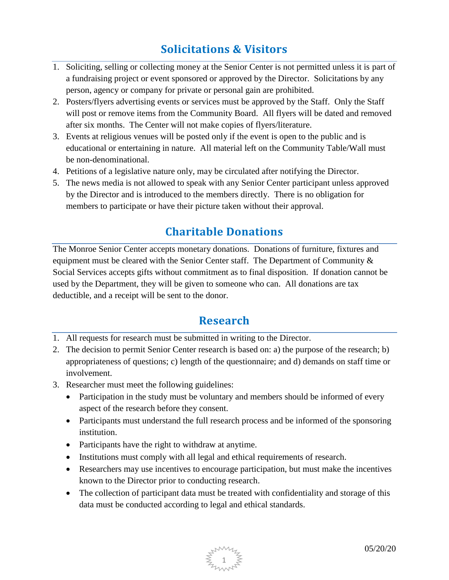#### **Solicitations & Visitors**

- 1. Soliciting, selling or collecting money at the Senior Center is not permitted unless it is part of a fundraising project or event sponsored or approved by the Director. Solicitations by any person, agency or company for private or personal gain are prohibited.
- 2. Posters/flyers advertising events or services must be approved by the Staff. Only the Staff will post or remove items from the Community Board. All flyers will be dated and removed after six months. The Center will not make copies of flyers/literature.
- 3. Events at religious venues will be posted only if the event is open to the public and is educational or entertaining in nature. All material left on the Community Table/Wall must be non-denominational.
- 4. Petitions of a legislative nature only, may be circulated after notifying the Director.
- 5. The news media is not allowed to speak with any Senior Center participant unless approved by the Director and is introduced to the members directly. There is no obligation for members to participate or have their picture taken without their approval.

#### **Charitable Donations**

The Monroe Senior Center accepts monetary donations. Donations of furniture, fixtures and equipment must be cleared with the Senior Center staff. The Department of Community & Social Services accepts gifts without commitment as to final disposition. If donation cannot be used by the Department, they will be given to someone who can. All donations are tax deductible, and a receipt will be sent to the donor.

#### **Research**

- 1. All requests for research must be submitted in writing to the Director.
- 2. The decision to permit Senior Center research is based on: a) the purpose of the research; b) appropriateness of questions; c) length of the questionnaire; and d) demands on staff time or involvement.
- 3. Researcher must meet the following guidelines:
	- Participation in the study must be voluntary and members should be informed of every aspect of the research before they consent.
	- Participants must understand the full research process and be informed of the sponsoring institution.
	- Participants have the right to withdraw at anytime.
	- Institutions must comply with all legal and ethical requirements of research.
	- Researchers may use incentives to encourage participation, but must make the incentives known to the Director prior to conducting research.
	- The collection of participant data must be treated with confidentiality and storage of this data must be conducted according to legal and ethical standards.

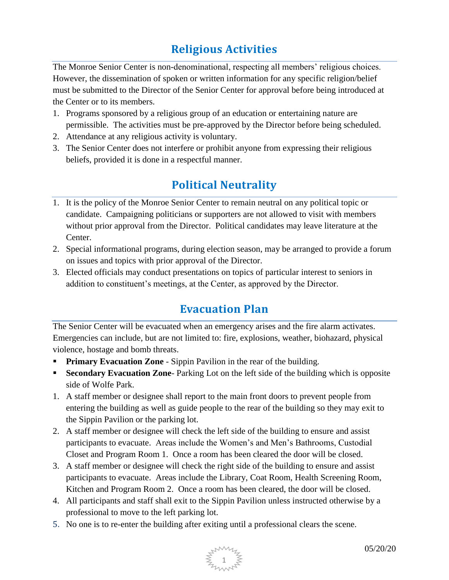## **Religious Activities**

The Monroe Senior Center is non-denominational, respecting all members' religious choices. However, the dissemination of spoken or written information for any specific religion/belief must be submitted to the Director of the Senior Center for approval before being introduced at the Center or to its members.

- 1. Programs sponsored by a religious group of an education or entertaining nature are permissible. The activities must be pre-approved by the Director before being scheduled.
- 2. Attendance at any religious activity is voluntary.
- 3. The Senior Center does not interfere or prohibit anyone from expressing their religious beliefs, provided it is done in a respectful manner.

#### **Political Neutrality**

- 1. It is the policy of the Monroe Senior Center to remain neutral on any political topic or candidate. Campaigning politicians or supporters are not allowed to visit with members without prior approval from the Director. Political candidates may leave literature at the Center.
- 2. Special informational programs, during election season, may be arranged to provide a forum on issues and topics with prior approval of the Director.
- 3. Elected officials may conduct presentations on topics of particular interest to seniors in addition to constituent's meetings, at the Center, as approved by the Director.

#### **Evacuation Plan**

The Senior Center will be evacuated when an emergency arises and the fire alarm activates. Emergencies can include, but are not limited to: fire, explosions, weather, biohazard, physical violence, hostage and bomb threats.

- **Primary Evacuation Zone** Sippin Pavilion in the rear of the building.
- **Secondary Evacuation Zone-** Parking Lot on the left side of the building which is opposite side of Wolfe Park.
- 1. A staff member or designee shall report to the main front doors to prevent people from entering the building as well as guide people to the rear of the building so they may exit to the Sippin Pavilion or the parking lot.
- 2. A staff member or designee will check the left side of the building to ensure and assist participants to evacuate. Areas include the Women's and Men's Bathrooms, Custodial Closet and Program Room 1. Once a room has been cleared the door will be closed.
- 3. A staff member or designee will check the right side of the building to ensure and assist participants to evacuate. Areas include the Library, Coat Room, Health Screening Room, Kitchen and Program Room 2. Once a room has been cleared, the door will be closed.
- 4. All participants and staff shall exit to the Sippin Pavilion unless instructed otherwise by a professional to move to the left parking lot.
- 5. No one is to re-enter the building after exiting until a professional clears the scene.

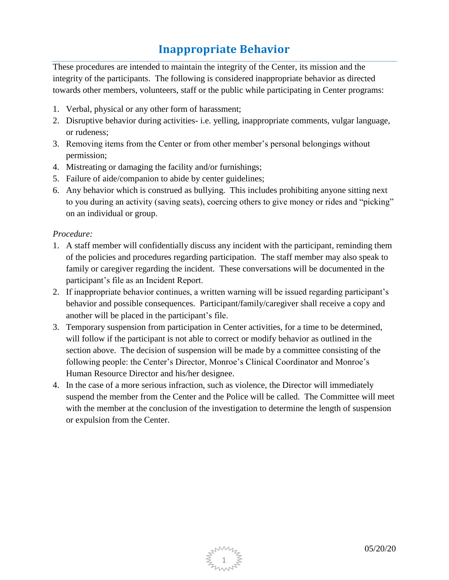#### **Inappropriate Behavior**

These procedures are intended to maintain the integrity of the Center, its mission and the integrity of the participants. The following is considered inappropriate behavior as directed towards other members, volunteers, staff or the public while participating in Center programs:

- 1. Verbal, physical or any other form of harassment;
- 2. Disruptive behavior during activities- i.e. yelling, inappropriate comments, vulgar language, or rudeness;
- 3. Removing items from the Center or from other member's personal belongings without permission;
- 4. Mistreating or damaging the facility and/or furnishings;
- 5. Failure of aide/companion to abide by center guidelines;
- 6. Any behavior which is construed as bullying. This includes prohibiting anyone sitting next to you during an activity (saving seats), coercing others to give money or rides and "picking" on an individual or group.

#### *Procedure:*

- 1. A staff member will confidentially discuss any incident with the participant, reminding them of the policies and procedures regarding participation. The staff member may also speak to family or caregiver regarding the incident. These conversations will be documented in the participant's file as an Incident Report.
- 2. If inappropriate behavior continues, a written warning will be issued regarding participant's behavior and possible consequences. Participant/family/caregiver shall receive a copy and another will be placed in the participant's file.
- 3. Temporary suspension from participation in Center activities, for a time to be determined, will follow if the participant is not able to correct or modify behavior as outlined in the section above. The decision of suspension will be made by a committee consisting of the following people: the Center's Director, Monroe's Clinical Coordinator and Monroe's Human Resource Director and his/her designee.
- 4. In the case of a more serious infraction, such as violence, the Director will immediately suspend the member from the Center and the Police will be called. The Committee will meet with the member at the conclusion of the investigation to determine the length of suspension or expulsion from the Center.

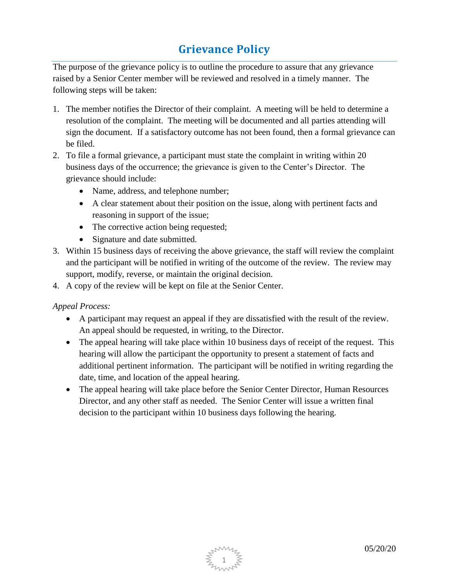## **Grievance Policy**

The purpose of the grievance policy is to outline the procedure to assure that any grievance raised by a Senior Center member will be reviewed and resolved in a timely manner. The following steps will be taken:

- 1. The member notifies the Director of their complaint. A meeting will be held to determine a resolution of the complaint. The meeting will be documented and all parties attending will sign the document. If a satisfactory outcome has not been found, then a formal grievance can be filed.
- 2. To file a formal grievance, a participant must state the complaint in writing within 20 business days of the occurrence; the grievance is given to the Center's Director. The grievance should include:
	- Name, address, and telephone number;
	- A clear statement about their position on the issue, along with pertinent facts and reasoning in support of the issue;
	- The corrective action being requested;
	- Signature and date submitted.
- 3. Within 15 business days of receiving the above grievance, the staff will review the complaint and the participant will be notified in writing of the outcome of the review. The review may support, modify, reverse, or maintain the original decision.
- 4. A copy of the review will be kept on file at the Senior Center.

*Appeal Process:*

- A participant may request an appeal if they are dissatisfied with the result of the review. An appeal should be requested, in writing, to the Director.
- The appeal hearing will take place within 10 business days of receipt of the request. This hearing will allow the participant the opportunity to present a statement of facts and additional pertinent information. The participant will be notified in writing regarding the date, time, and location of the appeal hearing.
- The appeal hearing will take place before the Senior Center Director, Human Resources Director, and any other staff as needed. The Senior Center will issue a written final decision to the participant within 10 business days following the hearing.